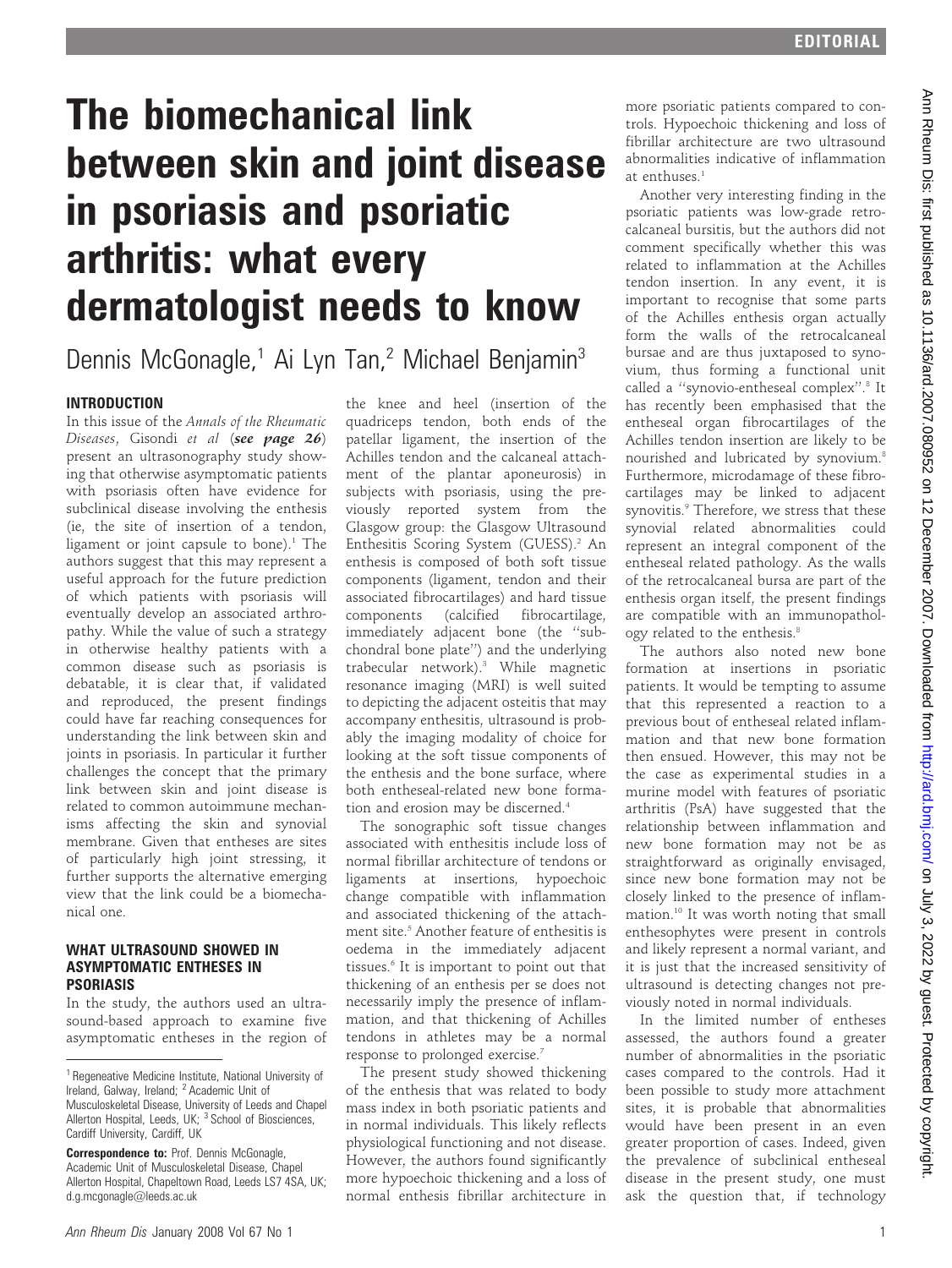# The biomechanical link between skin and joint disease in psoriasis and psoriatic arthritis: what every dermatologist needs to know

Dennis McGonagle,<sup>1</sup> Ai Lyn Tan,<sup>2</sup> Michael Benjamin<sup>3</sup>

# INTRODUCTION

In this issue of the Annals of the Rheumatic Diseases, Gisondi et al (see page 26) present an ultrasonography study showing that otherwise asymptomatic patients with psoriasis often have evidence for subclinical disease involving the enthesis (ie, the site of insertion of a tendon, ligament or joint capsule to bone).<sup>1</sup> The authors suggest that this may represent a useful approach for the future prediction of which patients with psoriasis will eventually develop an associated arthropathy. While the value of such a strategy in otherwise healthy patients with a common disease such as psoriasis is debatable, it is clear that, if validated and reproduced, the present findings could have far reaching consequences for understanding the link between skin and joints in psoriasis. In particular it further challenges the concept that the primary link between skin and joint disease is related to common autoimmune mechanisms affecting the skin and synovial membrane. Given that entheses are sites of particularly high joint stressing, it further supports the alternative emerging view that the link could be a biomechanical one.

#### WHAT ULTRASOUND SHOWED IN ASYMPTOMATIC ENTHESES IN **PSORIASIS**

In the study, the authors used an ultrasound-based approach to examine five asymptomatic entheses in the region of the knee and heel (insertion of the quadriceps tendon, both ends of the patellar ligament, the insertion of the Achilles tendon and the calcaneal attachment of the plantar aponeurosis) in subjects with psoriasis, using the previously reported system from the Glasgow group: the Glasgow Ultrasound Enthesitis Scoring System (GUESS).2 An enthesis is composed of both soft tissue components (ligament, tendon and their associated fibrocartilages) and hard tissue components (calcified fibrocartilage, immediately adjacent bone (the ''subchondral bone plate'') and the underlying trabecular network).3 While magnetic resonance imaging (MRI) is well suited to depicting the adjacent osteitis that may accompany enthesitis, ultrasound is probably the imaging modality of choice for looking at the soft tissue components of the enthesis and the bone surface, where both entheseal-related new bone formation and erosion may be discerned.4

The sonographic soft tissue changes associated with enthesitis include loss of normal fibrillar architecture of tendons or ligaments at insertions, hypoechoic change compatible with inflammation and associated thickening of the attachment site.<sup>5</sup> Another feature of enthesitis is oedema in the immediately adjacent tissues.6 It is important to point out that thickening of an enthesis per se does not necessarily imply the presence of inflammation, and that thickening of Achilles tendons in athletes may be a normal response to prolonged exercise.7

The present study showed thickening of the enthesis that was related to body mass index in both psoriatic patients and in normal individuals. This likely reflects physiological functioning and not disease. However, the authors found significantly more hypoechoic thickening and a loss of normal enthesis fibrillar architecture in

more psoriatic patients compared to controls. Hypoechoic thickening and loss of fibrillar architecture are two ultrasound abnormalities indicative of inflammation at enthuses.<sup>1</sup>

Another very interesting finding in the psoriatic patients was low-grade retrocalcaneal bursitis, but the authors did not comment specifically whether this was related to inflammation at the Achilles tendon insertion. In any event, it is important to recognise that some parts of the Achilles enthesis organ actually form the walls of the retrocalcaneal bursae and are thus juxtaposed to synovium, thus forming a functional unit called a ''synovio-entheseal complex''.8 It has recently been emphasised that the entheseal organ fibrocartilages of the Achilles tendon insertion are likely to be nourished and lubricated by synovium.<sup>8</sup> Furthermore, microdamage of these fibrocartilages may be linked to adjacent synovitis.<sup>9</sup> Therefore, we stress that these synovial related abnormalities could represent an integral component of the entheseal related pathology. As the walls of the retrocalcaneal bursa are part of the enthesis organ itself, the present findings are compatible with an immunopathology related to the enthesis.<sup>8</sup>

The authors also noted new bone formation at insertions in psoriatic patients. It would be tempting to assume that this represented a reaction to a previous bout of entheseal related inflammation and that new bone formation then ensued. However, this may not be the case as experimental studies in a murine model with features of psoriatic arthritis (PsA) have suggested that the relationship between inflammation and new bone formation may not be as straightforward as originally envisaged, since new bone formation may not be closely linked to the presence of inflammation.10 It was worth noting that small enthesophytes were present in controls and likely represent a normal variant, and it is just that the increased sensitivity of ultrasound is detecting changes not previously noted in normal individuals.

In the limited number of entheses assessed, the authors found a greater number of abnormalities in the psoriatic cases compared to the controls. Had it been possible to study more attachment sites, it is probable that abnormalities would have been present in an even greater proportion of cases. Indeed, given the prevalence of subclinical entheseal disease in the present study, one must ask the question that, if technology

<sup>&</sup>lt;sup>1</sup> Regeneative Medicine Institute, National University of Ireland, Galway, Ireland; <sup>2</sup> Academic Unit of Musculoskeletal Disease, University of Leeds and Chapel Allerton Hospital, Leeds, UK;  $3$  School of Biosciences, Cardiff University, Cardiff, UK

Correspondence to: Prof. Dennis McGonagle, Academic Unit of Musculoskeletal Disease, Chapel Allerton Hospital, Chapeltown Road, Leeds LS7 4SA, UK; d.g.mcgonagle@leeds.ac.uk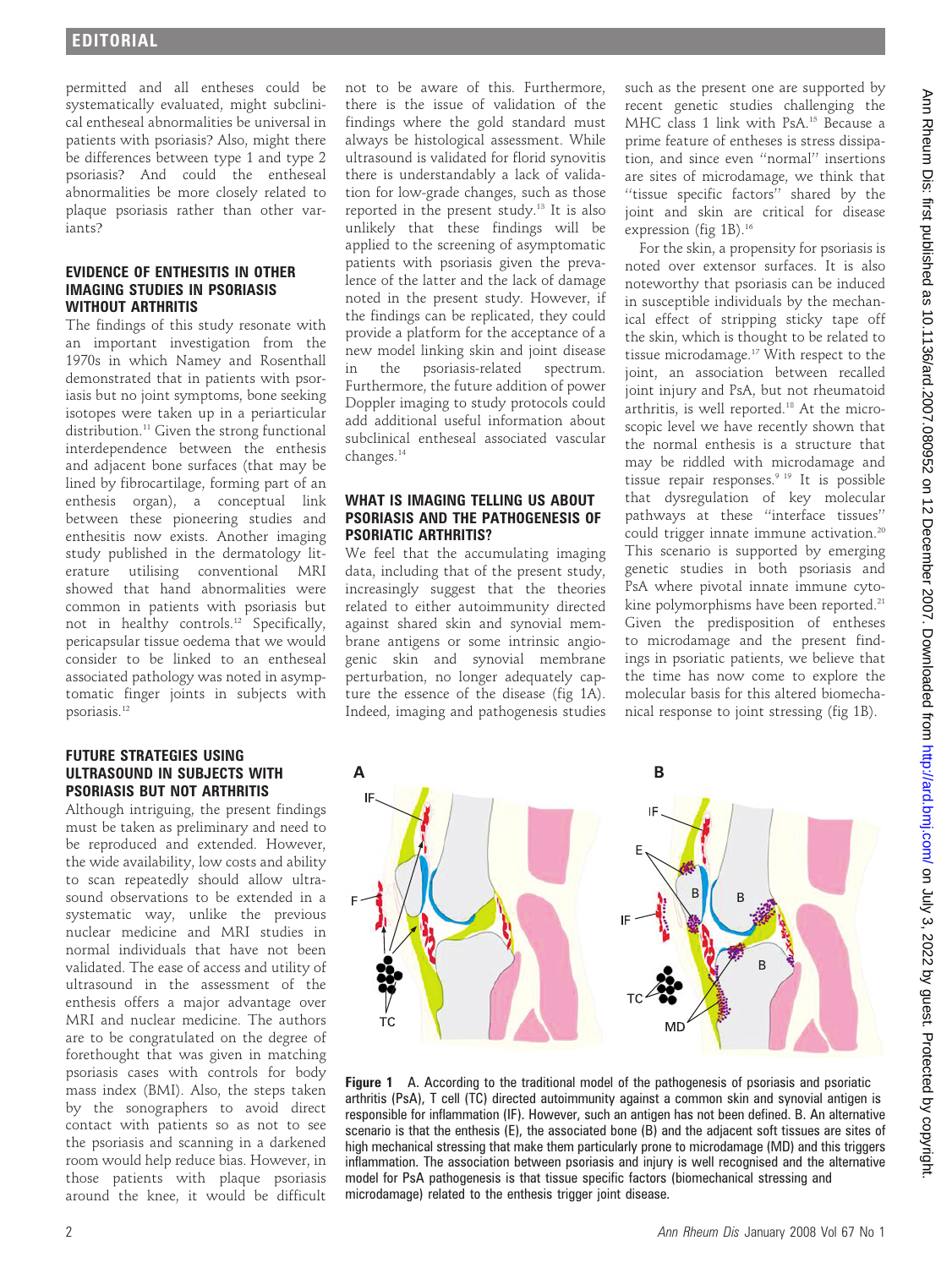permitted and all entheses could be systematically evaluated, might subclinical entheseal abnormalities be universal in patients with psoriasis? Also, might there be differences between type 1 and type 2 psoriasis? And could the entheseal abnormalities be more closely related to plaque psoriasis rather than other variants?

# EVIDENCE OF ENTHESITIS IN OTHER IMAGING STUDIES IN PSORIASIS WITHOUT ARTHRITIS

The findings of this study resonate with an important investigation from the 1970s in which Namey and Rosenthall demonstrated that in patients with psoriasis but no joint symptoms, bone seeking isotopes were taken up in a periarticular distribution.<sup>11</sup> Given the strong functional interdependence between the enthesis and adjacent bone surfaces (that may be lined by fibrocartilage, forming part of an enthesis organ), a conceptual link between these pioneering studies and enthesitis now exists. Another imaging study published in the dermatology literature utilising conventional MRI showed that hand abnormalities were common in patients with psoriasis but not in healthy controls.12 Specifically, pericapsular tissue oedema that we would consider to be linked to an entheseal associated pathology was noted in asymptomatic finger joints in subjects with psoriasis.12

# FUTURE STRATEGIES USING ULTRASOUND IN SUBJECTS WITH PSORIASIS BUT NOT ARTHRITIS

Although intriguing, the present findings must be taken as preliminary and need to be reproduced and extended. However, the wide availability, low costs and ability to scan repeatedly should allow ultrasound observations to be extended in a systematic way, unlike the previous nuclear medicine and MRI studies in normal individuals that have not been validated. The ease of access and utility of ultrasound in the assessment of the enthesis offers a major advantage over MRI and nuclear medicine. The authors are to be congratulated on the degree of forethought that was given in matching psoriasis cases with controls for body mass index (BMI). Also, the steps taken by the sonographers to avoid direct contact with patients so as not to see the psoriasis and scanning in a darkened room would help reduce bias. However, in those patients with plaque psoriasis around the knee, it would be difficult

not to be aware of this. Furthermore, there is the issue of validation of the findings where the gold standard must always be histological assessment. While ultrasound is validated for florid synovitis there is understandably a lack of validation for low-grade changes, such as those reported in the present study.13 It is also unlikely that these findings will be applied to the screening of asymptomatic patients with psoriasis given the prevalence of the latter and the lack of damage noted in the present study. However, if the findings can be replicated, they could provide a platform for the acceptance of a new model linking skin and joint disease in the psoriasis-related spectrum. Furthermore, the future addition of power Doppler imaging to study protocols could add additional useful information about subclinical entheseal associated vascular changes.14

# WHAT IS IMAGING TELLING US ABOUT PSORIASIS AND THE PATHOGENESIS OF PSORIATIC ARTHRITIS?

We feel that the accumulating imaging data, including that of the present study, increasingly suggest that the theories related to either autoimmunity directed against shared skin and synovial membrane antigens or some intrinsic angiogenic skin and synovial membrane perturbation, no longer adequately capture the essence of the disease (fig 1A). Indeed, imaging and pathogenesis studies such as the present one are supported by recent genetic studies challenging the MHC class 1 link with PsA.15 Because a prime feature of entheses is stress dissipation, and since even ''normal'' insertions are sites of microdamage, we think that ''tissue specific factors'' shared by the joint and skin are critical for disease expression (fig 1B).<sup>16</sup>

For the skin, a propensity for psoriasis is noted over extensor surfaces. It is also noteworthy that psoriasis can be induced in susceptible individuals by the mechanical effect of stripping sticky tape off the skin, which is thought to be related to tissue microdamage.17 With respect to the joint, an association between recalled joint injury and PsA, but not rheumatoid arthritis, is well reported.<sup>18</sup> At the microscopic level we have recently shown that the normal enthesis is a structure that may be riddled with microdamage and tissue repair responses.<sup>9 19</sup> It is possible that dysregulation of key molecular pathways at these ''interface tissues'' could trigger innate immune activation.<sup>20</sup> This scenario is supported by emerging genetic studies in both psoriasis and PsA where pivotal innate immune cytokine polymorphisms have been reported.<sup>21</sup> Given the predisposition of entheses to microdamage and the present findings in psoriatic patients, we believe that the time has now come to explore the molecular basis for this altered biomechanical response to joint stressing (fig 1B).



Figure 1 A. According to the traditional model of the pathogenesis of psoriasis and psoriatic arthritis (PsA), T cell (TC) directed autoimmunity against a common skin and synovial antigen is responsible for inflammation (IF). However, such an antigen has not been defined. B. An alternative scenario is that the enthesis (E), the associated bone (B) and the adjacent soft tissues are sites of high mechanical stressing that make them particularly prone to microdamage (MD) and this triggers inflammation. The association between psoriasis and injury is well recognised and the alternative model for PsA pathogenesis is that tissue specific factors (biomechanical stressing and microdamage) related to the enthesis trigger joint disease.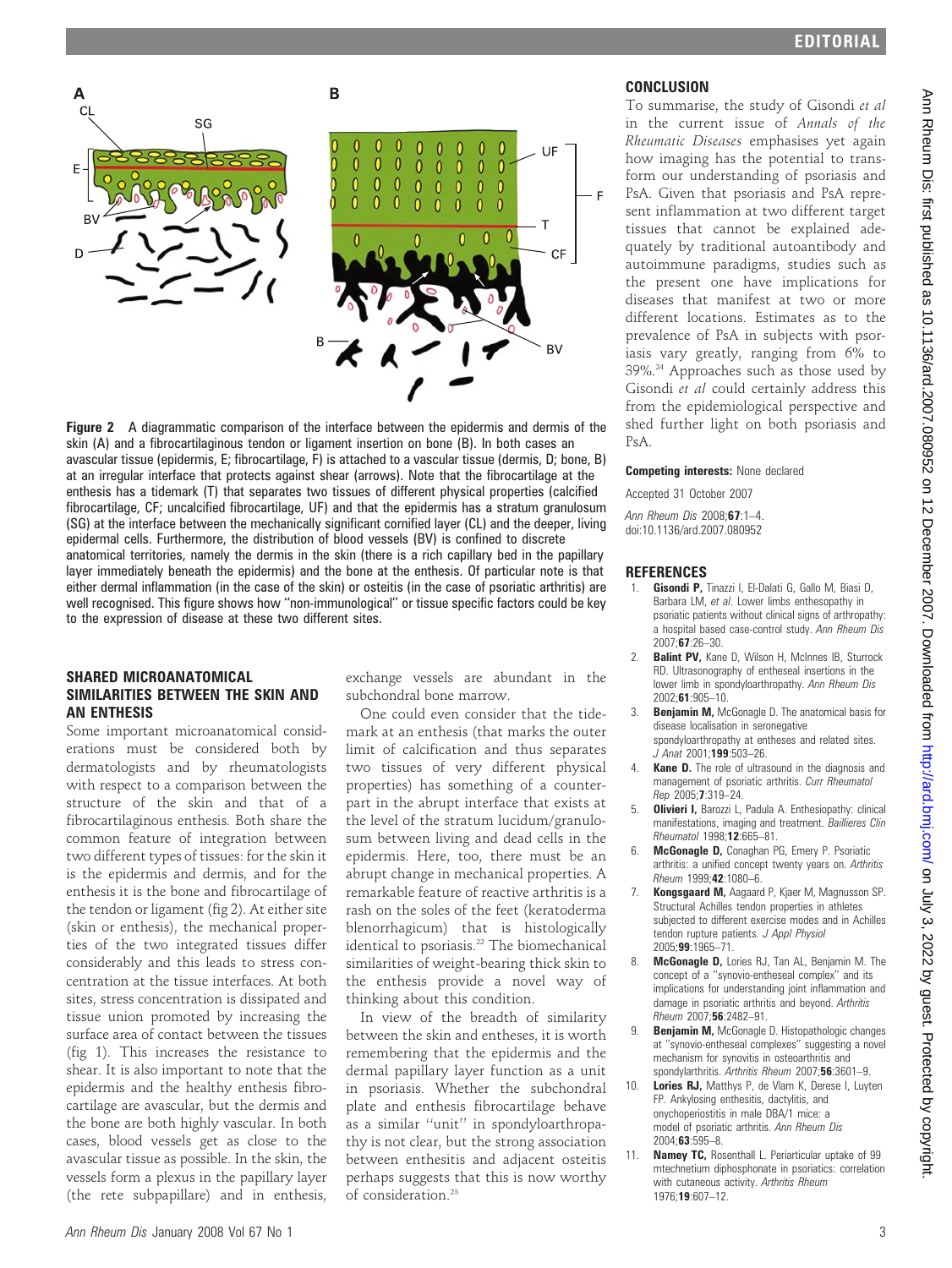

**Figure 2** A diagrammatic comparison of the interface between the epidermis and dermis of the skin (A) and a fibrocartilaginous tendon or ligament insertion on bone (B). In both cases an avascular tissue (epidermis, E; fibrocartilage, F) is attached to a vascular tissue (dermis, D; bone, B) at an irregular interface that protects against shear (arrows). Note that the fibrocartilage at the enthesis has a tidemark (T) that separates two tissues of different physical properties (calcified fibrocartilage, CF; uncalcified fibrocartilage, UF) and that the epidermis has a stratum granulosum (SG) at the interface between the mechanically significant cornified layer (CL) and the deeper, living epidermal cells. Furthermore, the distribution of blood vessels (BV) is confined to discrete anatomical territories, namely the dermis in the skin (there is a rich capillary bed in the papillary layer immediately beneath the epidermis) and the bone at the enthesis. Of particular note is that either dermal inflammation (in the case of the skin) or osteitis (in the case of psoriatic arthritis) are well recognised. This figure shows how ''non-immunological'' or tissue specific factors could be key to the expression of disease at these two different sites.

# SHARED MICROANATOMICAL SIMILARITIES BETWEEN THE SKIN AND AN ENTHESIS

Some important microanatomical considerations must be considered both by dermatologists and by rheumatologists with respect to a comparison between the structure of the skin and that of a fibrocartilaginous enthesis. Both share the common feature of integration between two different types of tissues: for the skin it is the epidermis and dermis, and for the enthesis it is the bone and fibrocartilage of the tendon or ligament (fig 2). At either site (skin or enthesis), the mechanical properties of the two integrated tissues differ considerably and this leads to stress concentration at the tissue interfaces. At both sites, stress concentration is dissipated and tissue union promoted by increasing the surface area of contact between the tissues (fig 1). This increases the resistance to shear. It is also important to note that the epidermis and the healthy enthesis fibrocartilage are avascular, but the dermis and the bone are both highly vascular. In both cases, blood vessels get as close to the avascular tissue as possible. In the skin, the vessels form a plexus in the papillary layer (the rete subpapillare) and in enthesis,

exchange vessels are abundant in the subchondral bone marrow.

One could even consider that the tidemark at an enthesis (that marks the outer limit of calcification and thus separates two tissues of very different physical properties) has something of a counterpart in the abrupt interface that exists at the level of the stratum lucidum/granulosum between living and dead cells in the epidermis. Here, too, there must be an abrupt change in mechanical properties. A remarkable feature of reactive arthritis is a rash on the soles of the feet (keratoderma blenorrhagicum) that is histologically identical to psoriasis.<sup>22</sup> The biomechanical similarities of weight-bearing thick skin to the enthesis provide a novel way of thinking about this condition.

In view of the breadth of similarity between the skin and entheses, it is worth remembering that the epidermis and the dermal papillary layer function as a unit in psoriasis. Whether the subchondral plate and enthesis fibrocartilage behave as a similar ''unit'' in spondyloarthropathy is not clear, but the strong association between enthesitis and adjacent osteitis perhaps suggests that this is now worthy of consideration.<sup>23</sup>

# **CONCLUSION**

To summarise, the study of Gisondi et al in the current issue of Annals of the Rheumatic Diseases emphasises yet again how imaging has the potential to transform our understanding of psoriasis and PsA. Given that psoriasis and PsA represent inflammation at two different target tissues that cannot be explained adequately by traditional autoantibody and autoimmune paradigms, studies such as the present one have implications for diseases that manifest at two or more different locations. Estimates as to the prevalence of PsA in subjects with psoriasis vary greatly, ranging from 6% to 39%.24 Approaches such as those used by Gisondi et al could certainly address this from the epidemiological perspective and shed further light on both psoriasis and PsA.

#### Competing interests: None declared

Accepted 31 October 2007

Ann Rheum Dis 2008;67:1–4. doi:10.1136/ard.2007.080952

## **REFERENCES**

- Gisondi P, Tinazzi I, El-Dalati G, Gallo M, Biasi D, Barbara LM, et al. Lower limbs enthesopathy in psoriatic patients without clinical signs of arthropathy: a hospital based case-control study. Ann Rheum Dis 2007;67:26–30.
- 2. **Balint PV,** Kane D, Wilson H, McInnes IB, Sturrock RD. Ultrasonography of entheseal insertions in the lower limb in spondyloarthropathy. Ann Rheum Dis 2002;61:905–10.
- 3. Benjamin M, McGonagle D. The anatomical basis for disease localisation in seronegative spondyloarthropathy at entheses and related sites. J Anat 2001;199:503–26.
- 4. **Kane D.** The role of ultrasound in the diagnosis and management of psoriatic arthritis. Curr Rheumatol Rep 2005;7:319–24.
- 5. Olivieri I, Barozzi L, Padula A. Enthesiopathy: clinical manifestations, imaging and treatment. Baillieres Clin Rheumatol 1998;12:665–81.
- 6. McGonagle D, Conaghan PG, Emery P. Psoriatic arthritis: a unified concept twenty years on. Arthritis Rheum 1999;42:1080–6.
- 7. Kongsgaard M, Aagaard P, Kjaer M, Magnusson SP. Structural Achilles tendon properties in athletes subjected to different exercise modes and in Achilles tendon rupture patients. J Appl Physiol 2005;99:1965–71.
- 8. McGonagle D, Lories RJ, Tan AL, Benjamin M. The concept of a ''synovio-entheseal complex'' and its implications for understanding joint inflammation and damage in psoriatic arthritis and beyond. Arthritis Rheum 2007;56:2482–91.
- 9. Benjamin M, McGonagle D. Histopathologic changes at ''synovio-entheseal complexes'' suggesting a novel mechanism for synovitis in osteoarthritis and spondylarthritis. Arthritis Rheum 2007;56:3601-9.
- 10. Lories RJ, Matthys P, de Vlam K, Derese I, Luyten FP. Ankylosing enthesitis, dactylitis, and onychoperiostitis in male DBA/1 mice: a model of psoriatic arthritis. Ann Rheum Dis 2004;63:595–8.
- 11. **Namey TC.** Rosenthall L. Periarticular uptake of 99 mtechnetium diphosphonate in psoriatics: correlation with cutaneous activity. Arthritis Rheum 1976;19:607–12.